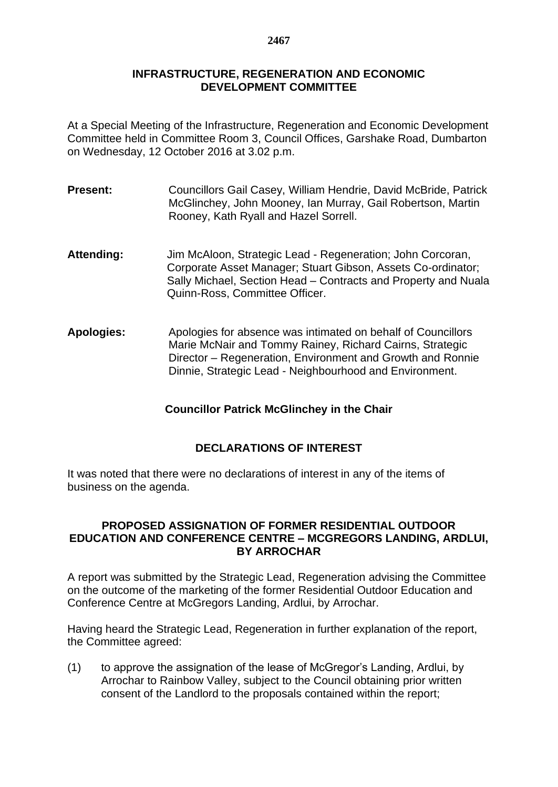## **INFRASTRUCTURE, REGENERATION AND ECONOMIC DEVELOPMENT COMMITTEE**

At a Special Meeting of the Infrastructure, Regeneration and Economic Development Committee held in Committee Room 3, Council Offices, Garshake Road, Dumbarton on Wednesday, 12 October 2016 at 3.02 p.m.

- **Present:** Councillors Gail Casey, William Hendrie, David McBride, Patrick McGlinchey, John Mooney, Ian Murray, Gail Robertson, Martin Rooney, Kath Ryall and Hazel Sorrell.
- **Attending:** Jim McAloon, Strategic Lead Regeneration; John Corcoran, Corporate Asset Manager; Stuart Gibson, Assets Co-ordinator; Sally Michael, Section Head – Contracts and Property and Nuala Quinn-Ross, Committee Officer.
- **Apologies:** Apologies for absence was intimated on behalf of Councillors Marie McNair and Tommy Rainey, Richard Cairns, Strategic Director – Regeneration, Environment and Growth and Ronnie Dinnie, Strategic Lead - Neighbourhood and Environment.

**Councillor Patrick McGlinchey in the Chair**

## **DECLARATIONS OF INTEREST**

It was noted that there were no declarations of interest in any of the items of business on the agenda.

## **PROPOSED ASSIGNATION OF FORMER RESIDENTIAL OUTDOOR EDUCATION AND CONFERENCE CENTRE – MCGREGORS LANDING, ARDLUI, BY ARROCHAR**

A report was submitted by the Strategic Lead, Regeneration advising the Committee on the outcome of the marketing of the former Residential Outdoor Education and Conference Centre at McGregors Landing, Ardlui, by Arrochar.

Having heard the Strategic Lead, Regeneration in further explanation of the report, the Committee agreed:

(1) to approve the assignation of the lease of McGregor's Landing, Ardlui, by Arrochar to Rainbow Valley, subject to the Council obtaining prior written consent of the Landlord to the proposals contained within the report;

## **2467**